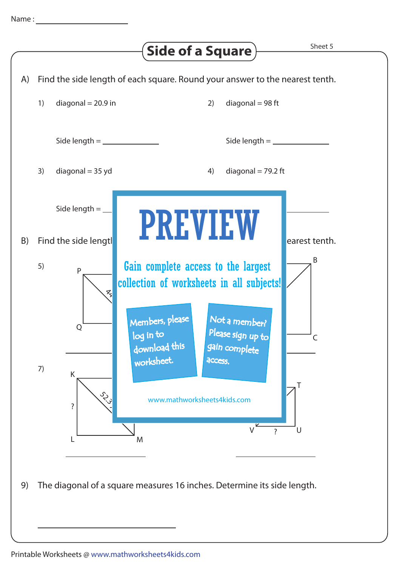